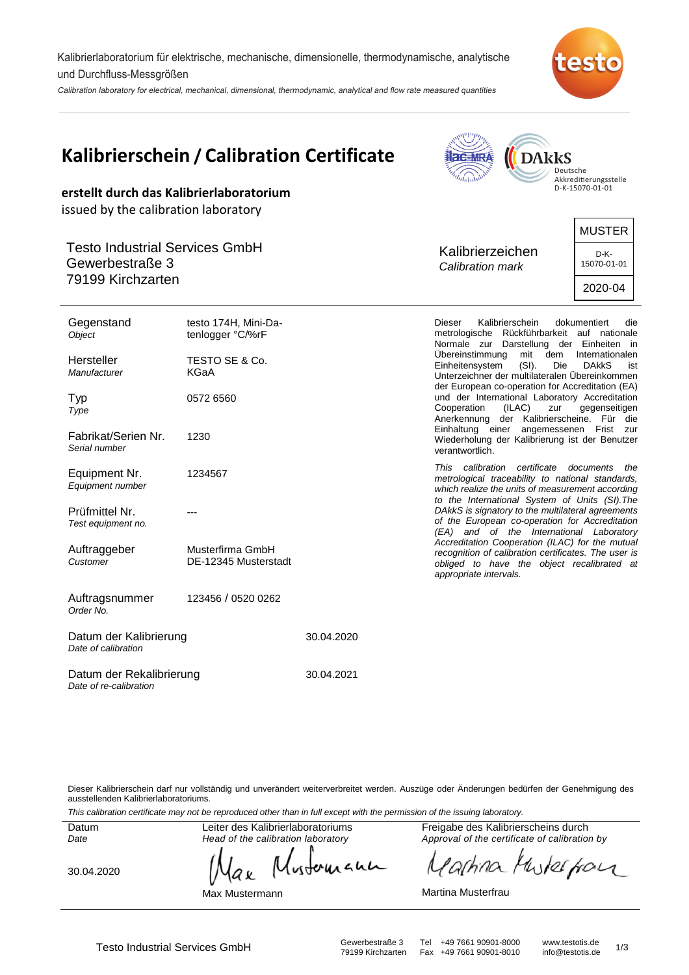Kalibrierlaboratorium für elektrische, mechanische, dimensionelle, thermodynamische, analytische und Durchfluss-Messgrößen

Calibration laboratory for electrical, mechanical, dimensional, thermodynamic, analytical and flow rate measured quantities



**Allegander** 

 $\blacktriangle$ 

|                                                          | Kalibrierschein / Calibration Certificate | <b>I</b> ac-MRA<br><b>DARKS</b><br>Deutsche<br>Akkreditierungsstelle                                                                                                                   |                                        |  |
|----------------------------------------------------------|-------------------------------------------|----------------------------------------------------------------------------------------------------------------------------------------------------------------------------------------|----------------------------------------|--|
| issued by the calibration laboratory                     | erstellt durch das Kalibrierlaboratorium  | D-K-15070-01-01                                                                                                                                                                        |                                        |  |
|                                                          |                                           |                                                                                                                                                                                        | <b>MUSTER</b>                          |  |
| <b>Testo Industrial Services GmbH</b><br>Gewerbestraße 3 |                                           | Kalibrierzeichen<br>Calibration mark                                                                                                                                                   | D-K-<br>15070-01-01                    |  |
| 79199 Kirchzarten                                        |                                           |                                                                                                                                                                                        | 2020-04                                |  |
| Gegenstand<br>Object                                     | testo 174H, Mini-Da-<br>tenlogger °C/%rF  | <b>Dieser</b><br>Kalibrierschein<br>dokumentiert<br>die<br>metrologische Rückführbarkeit auf nationale<br>Normale zur Darstellung der Einheiten in                                     |                                        |  |
| Hersteller<br>Manufacturer                               | TESTO SE & Co.<br>KGaA                    | Übereinstimmung<br>mit<br>dem<br>$(SI)$ .<br>Einheitensystem<br>Die<br>Unterzeichner der multilateralen Übereinkommen<br>der European co-operation for Accreditation (EA)              | Internationalen<br><b>DAKKS</b><br>ist |  |
| Typ<br>Type                                              | 0572 6560                                 | und der International Laboratory Accreditation<br>(ILAC)<br>Cooperation<br>zur<br>Anerkennung der Kalibrierscheine. Für die                                                            | gegenseitigen                          |  |
| Fabrikat/Serien Nr.<br>Serial number                     | 1230                                      | Einhaltung einer angemessenen Frist zur<br>Wiederholung der Kalibrierung ist der Benutzer<br>verantwortlich.                                                                           |                                        |  |
| Equipment Nr.<br>Equipment number                        | 1234567                                   | This calibration certificate<br>metrological traceability to national standards,<br>which realize the units of measurement according<br>to the International System of Units (SI). The | documents<br>the                       |  |
| Prüfmittel Nr.<br>Test equipment no.                     |                                           | DAkkS is signatory to the multilateral agreements<br>of the European co-operation for Accreditation<br>(EA) and of the International Laboratory                                        |                                        |  |
| Auftraggeber<br>Customer                                 | Musterfirma GmbH<br>DE-12345 Musterstadt  | Accreditation Cooperation (ILAC) for the mutual<br>recognition of calibration certificates. The user is<br>obliged to have the object recalibrated at<br>appropriate intervals.        |                                        |  |
| Auftragsnummer                                           | 123456 / 0520 0262                        |                                                                                                                                                                                        |                                        |  |

| Datum der Kalibrierung<br>Date of calibration      | 30.04.2020 |  |  |
|----------------------------------------------------|------------|--|--|
| Datum der Rekalibrierung<br>Date of re-calibration | 30.04.2021 |  |  |

Dieser Kalibrierschein darf nur vollständig und unverändert weiterverbreitet werden. Auszüge oder Änderungen bedürfen der Genehmigung des ausstellenden Kalibrierlaboratoriums.

wherean

This calibration certificate may not be reproduced other than in full except with the permission of the issuing laboratory.

Datum Date

Order No.

Leiter des Kalibrierlaboratoriums Head of the calibration laboratory

Max Mustermann

аx

30.04.2020

Freigabe des Kalibrierscheins durch Approval of the certificate of calibration by

wherefor 'a[hina N

Martina Musterfrau

Testo Industrial Services GmbH Gewerbestraße 3 Tel +49 7661 90901-8000 www.testotis.de 1/3 Fax +49 7661 90901-8010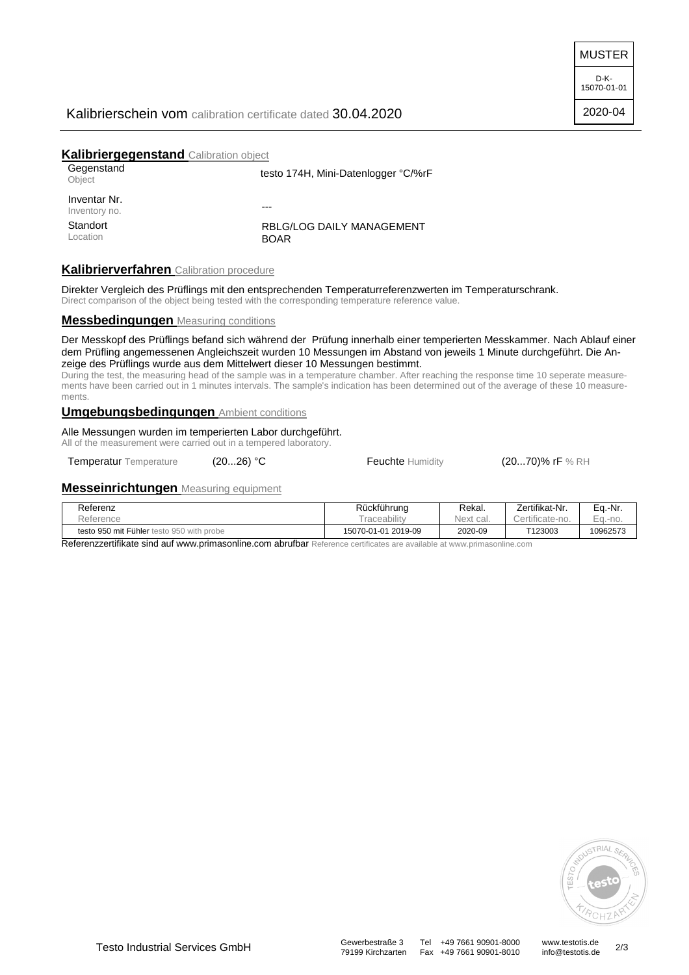MUSTER

D-K-15070-01-01 2020-04

### Kalibrierschein vom calibration certificate dated 30.04.2020

### **Kalibriergegenstand** Calibration object

| Gegenstand<br>Object          | testo 174H, Mini-Datenlogger °C/%rF      |  |
|-------------------------------|------------------------------------------|--|
| Inventar Nr.<br>Inventory no. | ---                                      |  |
| Standort<br>Location          | RBLG/LOG DAILY MANAGEMENT<br><b>BOAR</b> |  |

## **Kalibrierverfahren** Calibration procedure

Direkter Vergleich des Prüflings mit den entsprechenden Temperaturreferenzwerten im Temperaturschrank. Direct comparison of the object being tested with the corresponding temperature reference value.

#### **Messbedingungen** Measuring conditions

Der Messkopf des Prüflings befand sich während der Prüfung innerhalb einer temperierten Messkammer. Nach Ablauf einer dem Prüfling angemessenen Angleichszeit wurden 10 Messungen im Abstand von jeweils 1 Minute durchgeführt. Die Anzeige des Prüflings wurde aus dem Mittelwert dieser 10 Messungen bestimmt.

During the test, the measuring head of the sample was in a temperature chamber. After reaching the response time 10 seperate measurements have been carried out in 1 minutes intervals. The sample's indication has been determined out of the average of these 10 measurements.

### **Umgebungsbedingungen** Ambient conditions

Alle Messungen wurden im temperierten Labor durchgeführt.

All of the measurement were carried out in a tempered laboratory.

Temperatur Temperature (20...26) °C Feuchte Humidity (20...70)% rF % RH

## **Messeinrichtungen** Measuring equipment

| Referenz                                  | Rückführung         | Rekal.       | Zertifikat-Nr.  | Eq.-Nr.                            |
|-------------------------------------------|---------------------|--------------|-----------------|------------------------------------|
| Reference                                 | raceability         | Next<br>cal. | Certificate-no. | $\overline{\phantom{a}}$<br>$-no.$ |
| testo 950 mit Fühler testo 950 with probe | 15070-01-01 2019-09 | 2020-09      | T123003         | 10962573                           |

Referenzzertifikate sind auf www.primasonline.com abrufbar Reference certificates are available at www.primasonline.com



79199 Kirchzarten Fax +49 7661 90901-8010